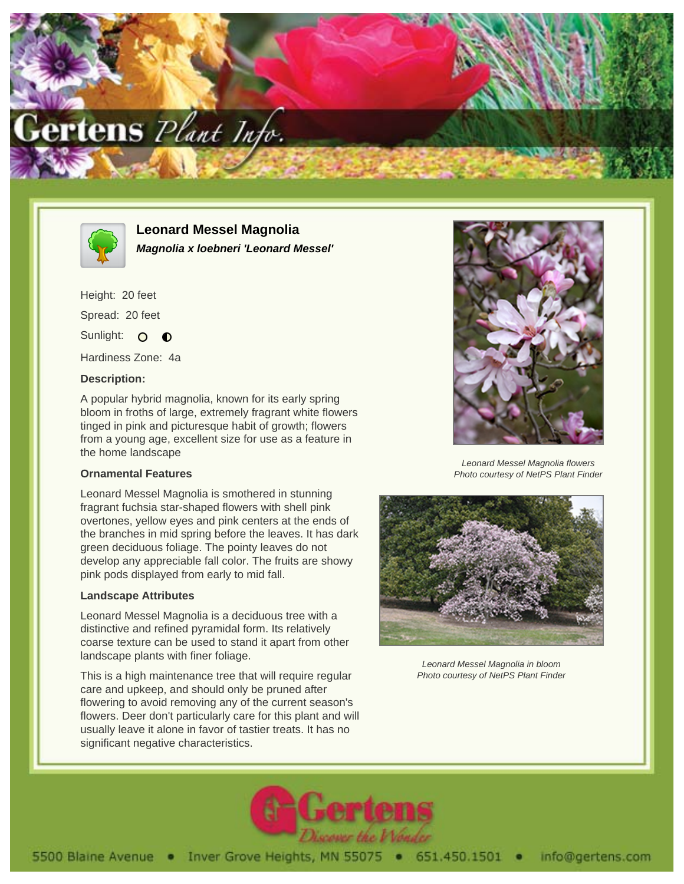



**Leonard Messel Magnolia**

**Magnolia x loebneri 'Leonard Messel'**

Height: 20 feet Spread: 20 feet Sunlight: O  $\bullet$ 

Hardiness Zone: 4a

## **Description:**

A popular hybrid magnolia, known for its early spring bloom in froths of large, extremely fragrant white flowers tinged in pink and picturesque habit of growth; flowers from a young age, excellent size for use as a feature in the home landscape

## **Ornamental Features**

Leonard Messel Magnolia is smothered in stunning fragrant fuchsia star-shaped flowers with shell pink overtones, yellow eyes and pink centers at the ends of the branches in mid spring before the leaves. It has dark green deciduous foliage. The pointy leaves do not develop any appreciable fall color. The fruits are showy pink pods displayed from early to mid fall.

## **Landscape Attributes**

Leonard Messel Magnolia is a deciduous tree with a distinctive and refined pyramidal form. Its relatively coarse texture can be used to stand it apart from other landscape plants with finer foliage.

This is a high maintenance tree that will require regular care and upkeep, and should only be pruned after flowering to avoid removing any of the current season's flowers. Deer don't particularly care for this plant and will usually leave it alone in favor of tastier treats. It has no significant negative characteristics.



Leonard Messel Magnolia flowers Photo courtesy of NetPS Plant Finder



Leonard Messel Magnolia in bloom Photo courtesy of NetPS Plant Finder